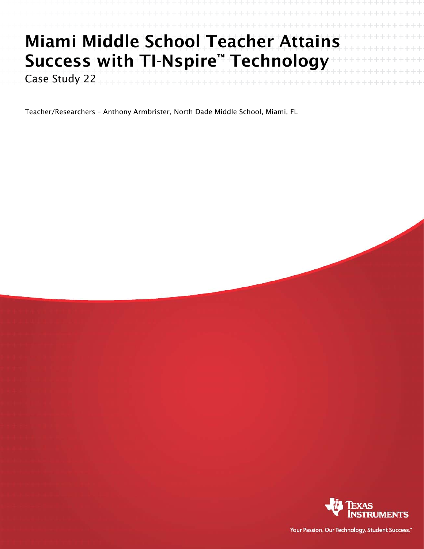# Miami Middle School Teacher Attains Success with TI-Nspire™ Technology

Case Study 22

Teacher/Researchers – Anthony Armbrister, North Dade Middle School, Miami, FL



Your Passion. Our Technology. Student Success."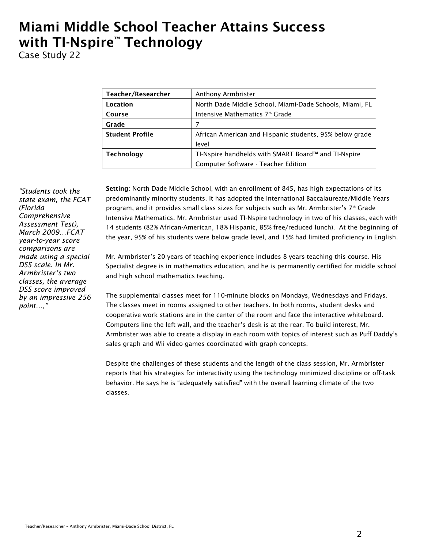## Miami Middle School Teacher Attains Success with TI-Nspire™ Technology

Case Study 22

| Teacher/Researcher     | Anthony Armbrister                                      |
|------------------------|---------------------------------------------------------|
| Location               | North Dade Middle School, Miami-Dade Schools, Miami, FL |
| Course                 | Intensive Mathematics 7th Grade                         |
| Grade                  | 7                                                       |
| <b>Student Profile</b> | African American and Hispanic students, 95% below grade |
|                        | level                                                   |
| <b>Technology</b>      | TI-Nspire handhelds with SMART Board™ and TI-Nspire     |
|                        | Computer Software - Teacher Edition                     |

*"Students took the state exam, the FCAT (Florida Comprehensive Assessment Test), March 2009…FCAT year-to-year score comparisons are made using a special DSS scale. In Mr. Armbrister's two classes, the average DSS score improved by an impressive 256 point…,"* 

Setting: North Dade Middle School, with an enrollment of 845, has high expectations of its predominantly minority students. It has adopted the International Baccalaureate/Middle Years program, and it provides small class sizes for subjects such as Mr. Armbrister's  $7<sup>th</sup>$  Grade Intensive Mathematics. Mr. Armbrister used TI-Nspire technology in two of his classes, each with 14 students (82% African-American, 18% Hispanic, 85% free/reduced lunch). At the beginning of the year, 95% of his students were below grade level, and 15% had limited proficiency in English.

Mr. Armbrister's 20 years of teaching experience includes 8 years teaching this course. His Specialist degree is in mathematics education, and he is permanently certified for middle school and high school mathematics teaching.

The supplemental classes meet for 110-minute blocks on Mondays, Wednesdays and Fridays. The classes meet in rooms assigned to other teachers. In both rooms, student desks and cooperative work stations are in the center of the room and face the interactive whiteboard. Computers line the left wall, and the teacher's desk is at the rear. To build interest, Mr. Armbrister was able to create a display in each room with topics of interest such as Puff Daddy's sales graph and Wii video games coordinated with graph concepts.

Despite the challenges of these students and the length of the class session, Mr. Armbrister reports that his strategies for interactivity using the technology minimized discipline or off-task behavior. He says he is "adequately satisfied" with the overall learning climate of the two classes.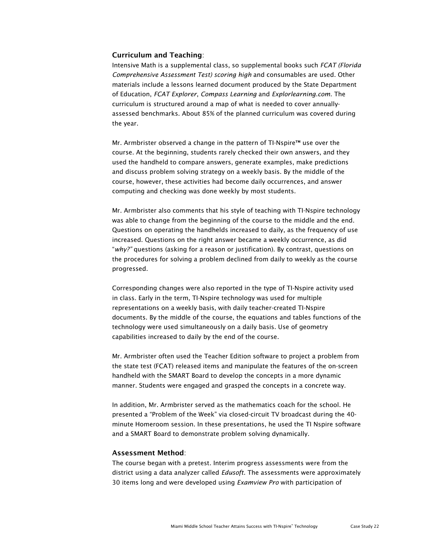#### Curriculum and Teaching:

Intensive Math is a supplemental class, so supplemental books such *FCAT (Florida Comprehensive Assessment Test) scoring high* and consumables are used. Other materials include a lessons learned document produced by the State Department of Education, *FCAT Explorer*, *Compass Learning* and *Explorlearning.com*. The curriculum is structured around a map of what is needed to cover annuallyassessed benchmarks. About 85% of the planned curriculum was covered during the year.

Mr. Armbrister observed a change in the pattern of TI-Nspire™ use over the course. At the beginning, students rarely checked their own answers, and they used the handheld to compare answers, generate examples, make predictions and discuss problem solving strategy on a weekly basis. By the middle of the course, however, these activities had become daily occurrences, and answer computing and checking was done weekly by most students.

Mr. Armbrister also comments that his style of teaching with TI-Nspire technology was able to change from the beginning of the course to the middle and the end. Questions on operating the handhelds increased to daily, as the frequency of use increased. Questions on the right answer became a weekly occurrence, as did "*why?"* questions (asking for a reason or justification). By contrast, questions on the procedures for solving a problem declined from daily to weekly as the course progressed.

Corresponding changes were also reported in the type of TI-Nspire activity used in class. Early in the term, TI-Nspire technology was used for multiple representations on a weekly basis, with daily teacher-created TI-Nspire documents. By the middle of the course, the equations and tables functions of the technology were used simultaneously on a daily basis. Use of geometry capabilities increased to daily by the end of the course.

Mr. Armbrister often used the Teacher Edition software to project a problem from the state test (FCAT) released items and manipulate the features of the on-screen handheld with the SMART Board to develop the concepts in a more dynamic manner. Students were engaged and grasped the concepts in a concrete way.

In addition, Mr. Armbrister served as the mathematics coach for the school. He presented a "Problem of the Week" via closed-circuit TV broadcast during the 40 minute Homeroom session. In these presentations, he used the TI Nspire software and a SMART Board to demonstrate problem solving dynamically.

#### Assessment Method:

The course began with a pretest. Interim progress assessments were from the district using a data analyzer called *Edusoft*. The assessments were approximately 30 items long and were developed using *Examview Pro* with participation of